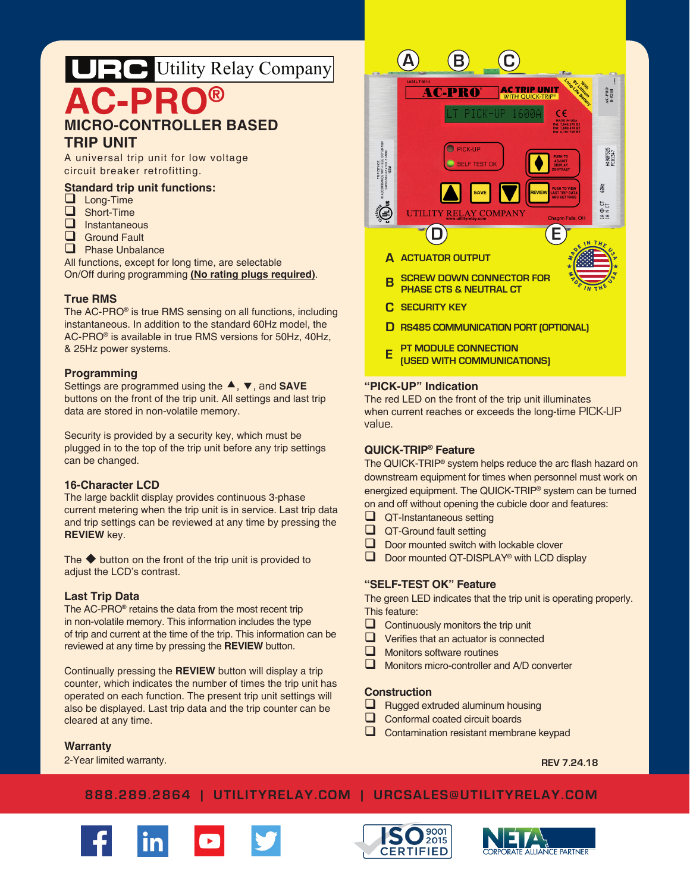# **AC-PRO® MICRO-CONTROLLER BASED TRIP UNIT** URC Utility Relay Company

A universal trip unit for low voltage circuit breaker retrofitting.

# **Standard trip unit functions:**

- **Long-Time**
- Short-Time
- $\Box$  Instantaneous
- **Q** Ground Fault
- **D** Phase Unbalance

All functions, except for long time, are selectable On/Off during programming **(No rating plugs required)**.

#### **True RMS**

The AC-PRO® is true RMS sensing on all functions, including instantaneous. In addition to the standard 60Hz model, the AC-PRO® is available in true RMS versions for 50Hz, 40Hz, & 25Hz power systems.

#### **Programming**

Settings are programmed using the  $\blacktriangle$ ,  $\nabla$ , and **SAVE** buttons on the front of the trip unit. All settings and last trip data are stored in non-volatile memory.

Security is provided by a security key, which must be plugged in to the top of the trip unit before any trip settings can be changed.

## **16-Character LCD**

The large backlit display provides continuous 3-phase current metering when the trip unit is in service. Last trip data and trip settings can be reviewed at any time by pressing the **REVIEW** key.

The  $\blacklozenge$  button on the front of the trip unit is provided to adjust the LCD's contrast.

#### **Last Trip Data**

The AC-PRO® retains the data from the most recent trip in non-volatile memory. This information includes the type of trip and current at the time of the trip. This information can be reviewed at any time by pressing the **REVIEW** button.

Continually pressing the **REVIEW** button will display a trip counter, which indicates the number of times the trip unit has operated on each function. The present trip unit settings will also be displayed. Last trip data and the trip counter can be cleared at any time.

#### **Warranty**

2-Year limited warranty.



#### **"PICK-UP" Indication**

The red LED on the front of the trip unit illuminates when current reaches or exceeds the long-time PICK-UP value.

## **QUICK-TRIP® Feature**

The QUICK-TRIP® system helps reduce the arc flash hazard on downstream equipment for times when personnel must work on energized equipment. The QUICK-TRIP® system can be turned on and off without opening the cubicle door and features:

- $\Box$  QT-Instantaneous setting
- QT-Ground fault setting
- $\Box$  Door mounted switch with lockable clover  $\Box$  Door mounted OT-DISPLAY® with LCD di
- Door mounted QT-DISPLAY® with LCD display

# **"SELF-TEST OK" Feature**

The green LED indicates that the trip unit is operating properly. This feature:

- $\Box$  Continuously monitors the trip unit
- $\Box$  Verifies that an actuator is connected
- $\Box$  Monitors software routines
- $\Box$  Monitors micro-controller and A/D converter

#### **Construction**

- $\Box$  Rugged extruded aluminum housing
- Conformal coated circuit boards
- Contamination resistant membrane keypad

**REV 7.24.18**

# **888.289.2864 | UTILITYRELAY.COM | URCSALES@UTILITYRELAY.COM**